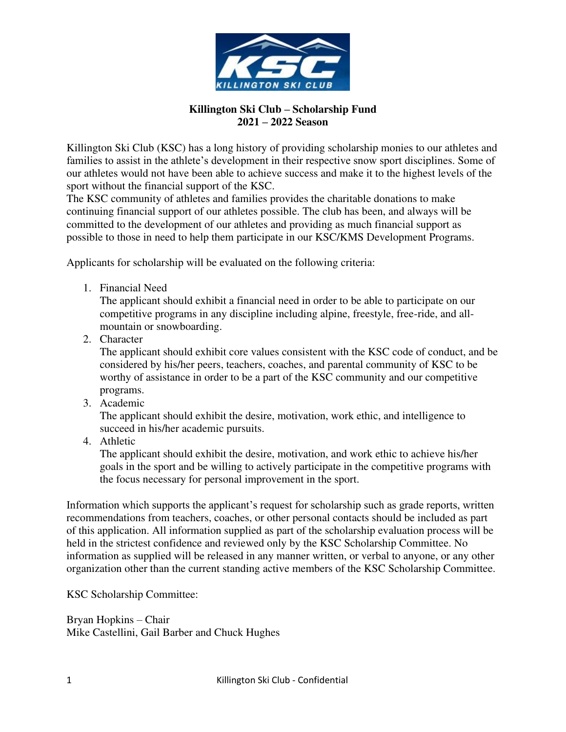

## **Killington Ski Club – Scholarship Fund 2021 – 2022 Season**

Killington Ski Club (KSC) has a long history of providing scholarship monies to our athletes and families to assist in the athlete's development in their respective snow sport disciplines. Some of our athletes would not have been able to achieve success and make it to the highest levels of the sport without the financial support of the KSC.

The KSC community of athletes and families provides the charitable donations to make continuing financial support of our athletes possible. The club has been, and always will be committed to the development of our athletes and providing as much financial support as possible to those in need to help them participate in our KSC/KMS Development Programs.

Applicants for scholarship will be evaluated on the following criteria:

1. Financial Need

The applicant should exhibit a financial need in order to be able to participate on our competitive programs in any discipline including alpine, freestyle, free-ride, and allmountain or snowboarding.

2. Character

The applicant should exhibit core values consistent with the KSC code of conduct, and be considered by his/her peers, teachers, coaches, and parental community of KSC to be worthy of assistance in order to be a part of the KSC community and our competitive programs.

3. Academic

The applicant should exhibit the desire, motivation, work ethic, and intelligence to succeed in his/her academic pursuits.

4. Athletic

The applicant should exhibit the desire, motivation, and work ethic to achieve his/her goals in the sport and be willing to actively participate in the competitive programs with the focus necessary for personal improvement in the sport.

Information which supports the applicant's request for scholarship such as grade reports, written recommendations from teachers, coaches, or other personal contacts should be included as part of this application. All information supplied as part of the scholarship evaluation process will be held in the strictest confidence and reviewed only by the KSC Scholarship Committee. No information as supplied will be released in any manner written, or verbal to anyone, or any other organization other than the current standing active members of the KSC Scholarship Committee.

KSC Scholarship Committee:

Bryan Hopkins – Chair Mike Castellini, Gail Barber and Chuck Hughes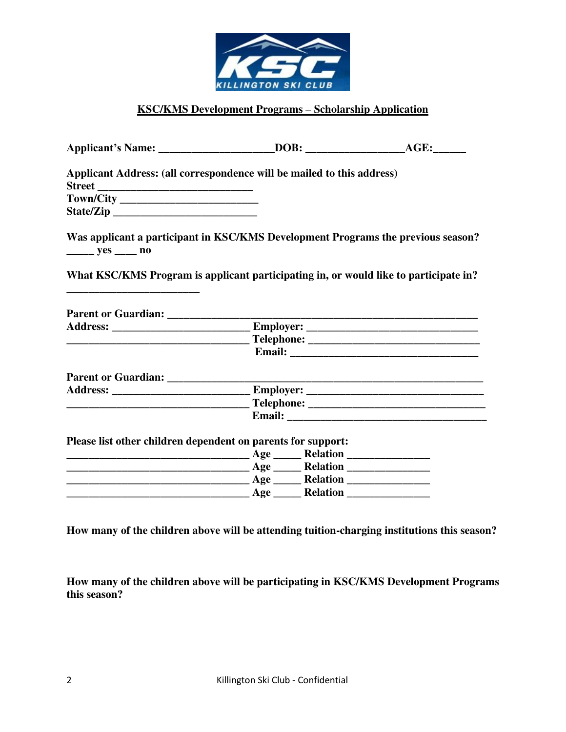

## **KSC/KMS Development Programs – Scholarship Application**

|                                                                                                                      | Applicant Address: (all correspondence will be mailed to this address)               |  |
|----------------------------------------------------------------------------------------------------------------------|--------------------------------------------------------------------------------------|--|
|                                                                                                                      |                                                                                      |  |
|                                                                                                                      |                                                                                      |  |
|                                                                                                                      |                                                                                      |  |
| $\frac{\ }{\ }$ yes $\frac{\ }{\ }$ no                                                                               | Was applicant a participant in KSC/KMS Development Programs the previous season?     |  |
|                                                                                                                      | What KSC/KMS Program is applicant participating in, or would like to participate in? |  |
|                                                                                                                      |                                                                                      |  |
| <u> 2000 - 2000 - 2000 - 2000 - 2000 - 2000 - 2000 - 2000 - 2000 - 2000 - 2000 - 2000 - 2000 - 2000 - 2000 - 200</u> |                                                                                      |  |
|                                                                                                                      |                                                                                      |  |
|                                                                                                                      |                                                                                      |  |
|                                                                                                                      |                                                                                      |  |
|                                                                                                                      |                                                                                      |  |
|                                                                                                                      |                                                                                      |  |
|                                                                                                                      |                                                                                      |  |
|                                                                                                                      |                                                                                      |  |
|                                                                                                                      |                                                                                      |  |
|                                                                                                                      | Please list other children dependent on parents for support:                         |  |
|                                                                                                                      |                                                                                      |  |
|                                                                                                                      |                                                                                      |  |

**How many of the children above will be attending tuition-charging institutions this season?**

**How many of the children above will be participating in KSC/KMS Development Programs this season?**